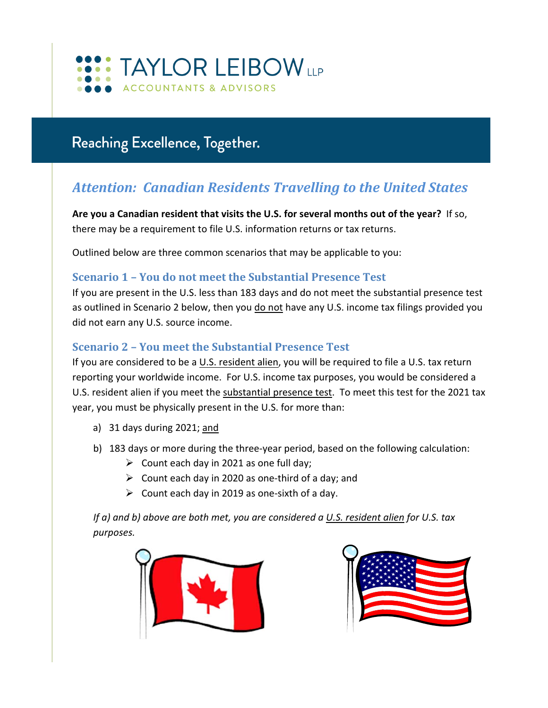

# Reaching Excellence, Together.

# *Attention: Canadian Residents Travelling to the United States*

Are you a Canadian resident that visits the U.S. for several months out of the year? If so, there may be a requirement to file U.S. information returns or tax returns.

Outlined below are three common scenarios that may be applicable to you:

#### **Scenario 1 – You do not meet the Substantial Presence Test**

If you are present in the U.S. less than 183 days and do not meet the substantial presence test as outlined in Scenario 2 below, then you do not have any U.S. income tax filings provided you did not earn any U.S. source income.

## **Scenario 2 – You meet the Substantial Presence Test**

If you are considered to be a U.S. resident alien, you will be required to file a U.S. tax return reporting your worldwide income. For U.S. income tax purposes, you would be considered a U.S. resident alien if you meet the substantial presence test. To meet this test for the 2021 tax year, you must be physically present in the U.S. for more than:

- a) 31 days during 2021; and
- b) 183 days or more during the three-year period, based on the following calculation:
	- $\triangleright$  Count each day in 2021 as one full day;
	- $\triangleright$  Count each day in 2020 as one-third of a day; and
	- $\triangleright$  Count each day in 2019 as one-sixth of a day.

*If a) and b) above are both met, you are considered a U.S. resident alien for U.S. tax purposes.*



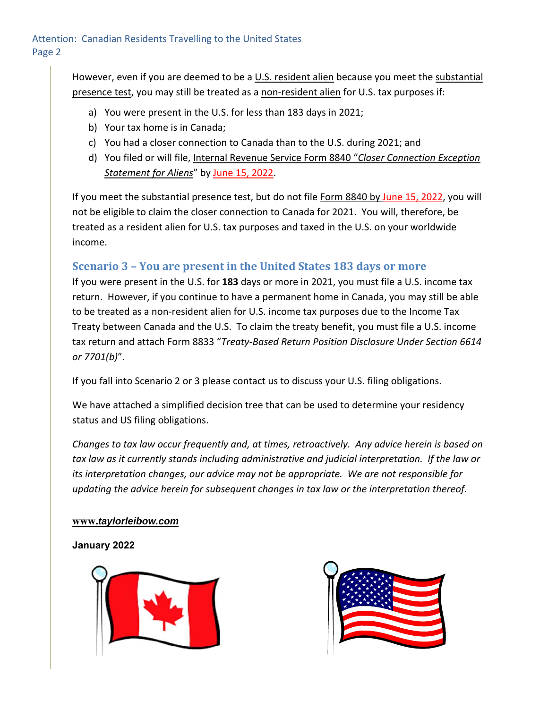However, even if you are deemed to be a U.S. resident alien because you meet the substantial presence test, you may still be treated as a non-resident alien for U.S. tax purposes if:

- a) You were present in the U.S. for less than 183 days in 2021;
- b) Your tax home is in Canada;
- c) You had a closer connection to Canada than to the U.S. during 2021; and
- d) You filed or will file, Internal Revenue Service Form 8840 "*Closer Connection Exception Statement for Aliens*" by June 15, 2022.

If you meet the substantial presence test, but do not file Form 8840 by June 15, 2022, you will not be eligible to claim the closer connection to Canada for 2021. You will, therefore, be treated as a resident alien for U.S. tax purposes and taxed in the U.S. on your worldwide income.

# **Scenario 3 – You are present in the United States 183 days or more**

If you were present in the U.S. for **183** days or more in 2021, you must file a U.S. income tax return. However, if you continue to have a permanent home in Canada, you may still be able to be treated as a non-resident alien for U.S. income tax purposes due to the Income Tax Treaty between Canada and the U.S. To claim the treaty benefit, you must file a U.S. income tax return and attach Form 8833 "*Treaty‐Based Return Position Disclosure Under Section 6614 or 7701(b)*".

If you fall into Scenario 2 or 3 please contact us to discuss your U.S. filing obligations.

We have attached a simplified decision tree that can be used to determine your residency status and US filing obligations.

*Changes to tax law occur frequently and, at times, retroactively. Any advice herein is based on tax law as it currently stands including administrative and judicial interpretation. If the law or its interpretation changes, our advice may not be appropriate. We are not responsible for updating the advice herein for subsequent changes in tax law or the interpretation thereof.* 

#### **www.***taylorleibow.com*

#### **January 2022**



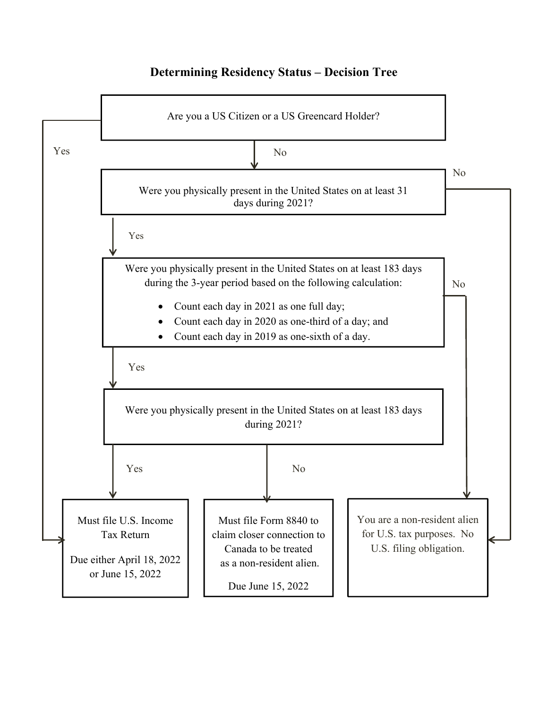## **Determining Residency Status – Decision Tree**